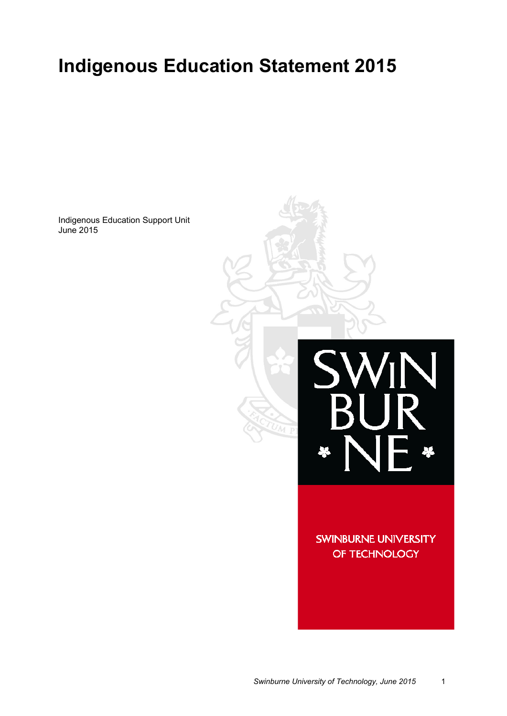# **Indigenous Education Statement 2015**

Indigenous Education Support Unit June 2015



**SWINBURNE UNIVERSITY** OF TECHNOLOGY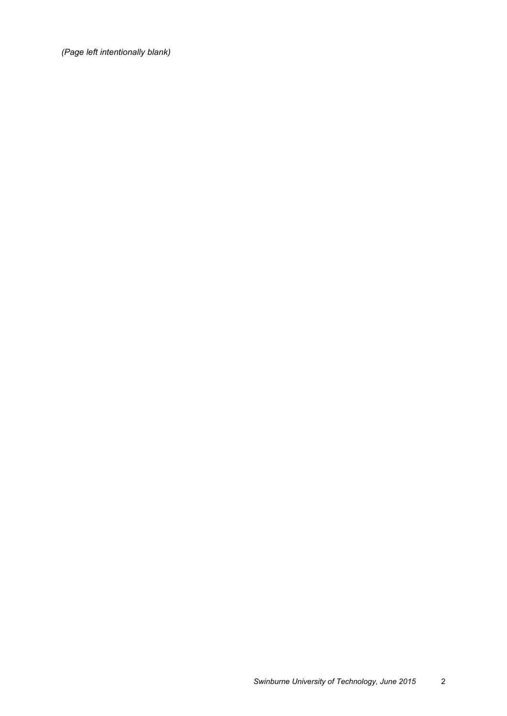*(Page left intentionally blank)*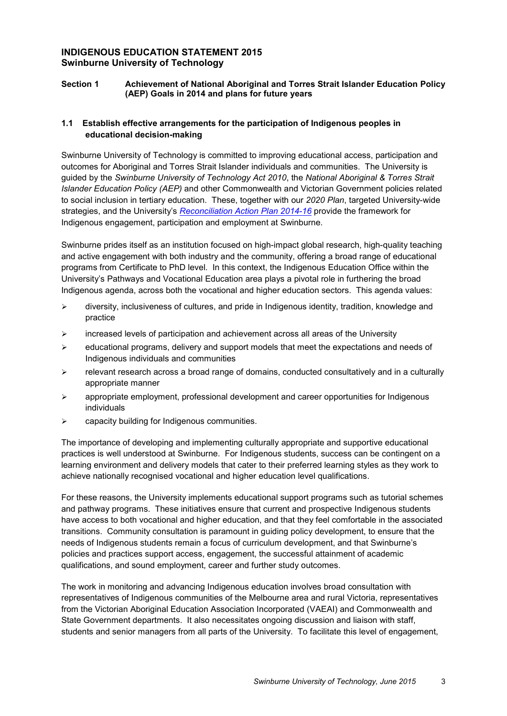### **INDIGENOUS EDUCATION STATEMENT 2015 Swinburne University of Technology**

### **Section 1 Achievement of National Aboriginal and Torres Strait Islander Education Policy (AEP) Goals in 2014 and plans for future years**

### **1.1 Establish effective arrangements for the participation of Indigenous peoples in educational decision-making**

Swinburne University of Technology is committed to improving educational access, participation and outcomes for Aboriginal and Torres Strait Islander individuals and communities. The University is guided by the *Swinburne University of Technology Act 2010*, the *National Aboriginal & Torres Strait Islander Education Policy (AEP)* and other Commonwealth and Victorian Government policies related to social inclusion in tertiary education. These, together with our *2020 Plan*, targeted University-wide strategies, and the University's *[Reconciliation Action Plan](http://www.swinburne.edu.au/media/swinburneeduau/about-swinburne/docs/pdfs/rap-2014-2016.pdf) 2014-16* provide the framework for Indigenous engagement, participation and employment at Swinburne.

Swinburne prides itself as an institution focused on high-impact global research, high-quality teaching and active engagement with both industry and the community, offering a broad range of educational programs from Certificate to PhD level. In this context, the Indigenous Education Office within the University's Pathways and Vocational Education area plays a pivotal role in furthering the broad Indigenous agenda, across both the vocational and higher education sectors. This agenda values:

- $\rightarrow$  diversity, inclusiveness of cultures, and pride in Indigenous identity, tradition, knowledge and practice
- $\triangleright$  increased levels of participation and achievement across all areas of the University
- $\triangleright$  educational programs, delivery and support models that meet the expectations and needs of Indigenous individuals and communities
- $\triangleright$  relevant research across a broad range of domains, conducted consultatively and in a culturally appropriate manner
- $\triangleright$  appropriate employment, professional development and career opportunities for Indigenous individuals
- $\triangleright$  capacity building for Indigenous communities.

The importance of developing and implementing culturally appropriate and supportive educational practices is well understood at Swinburne. For Indigenous students, success can be contingent on a learning environment and delivery models that cater to their preferred learning styles as they work to achieve nationally recognised vocational and higher education level qualifications.

For these reasons, the University implements educational support programs such as tutorial schemes and pathway programs. These initiatives ensure that current and prospective Indigenous students have access to both vocational and higher education, and that they feel comfortable in the associated transitions. Community consultation is paramount in guiding policy development, to ensure that the needs of Indigenous students remain a focus of curriculum development, and that Swinburne's policies and practices support access, engagement, the successful attainment of academic qualifications, and sound employment, career and further study outcomes.

The work in monitoring and advancing Indigenous education involves broad consultation with representatives of Indigenous communities of the Melbourne area and rural Victoria, representatives from the Victorian Aboriginal Education Association Incorporated (VAEAI) and Commonwealth and State Government departments. It also necessitates ongoing discussion and liaison with staff, students and senior managers from all parts of the University. To facilitate this level of engagement,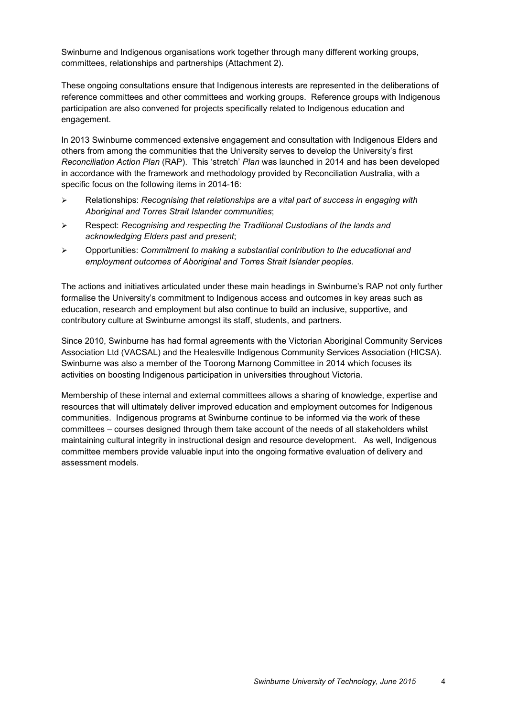Swinburne and Indigenous organisations work together through many different working groups, committees, relationships and partnerships (Attachment 2).

These ongoing consultations ensure that Indigenous interests are represented in the deliberations of reference committees and other committees and working groups. Reference groups with Indigenous participation are also convened for projects specifically related to Indigenous education and engagement.

In 2013 Swinburne commenced extensive engagement and consultation with Indigenous Elders and others from among the communities that the University serves to develop the University's first *Reconciliation Action Plan* (RAP). This 'stretch' *Plan* was launched in 2014 and has been developed in accordance with the framework and methodology provided by Reconciliation Australia, with a specific focus on the following items in 2014-16:

- Relationships: *Recognising that relationships are a vital part of success in engaging with Aboriginal and Torres Strait Islander communities*;
- Respect: *Recognising and respecting the Traditional Custodians of the lands and acknowledging Elders past and present*;
- Opportunities: *Commitment to making a substantial contribution to the educational and employment outcomes of Aboriginal and Torres Strait Islander peoples*.

The actions and initiatives articulated under these main headings in Swinburne's RAP not only further formalise the University's commitment to Indigenous access and outcomes in key areas such as education, research and employment but also continue to build an inclusive, supportive, and contributory culture at Swinburne amongst its staff, students, and partners.

Since 2010, Swinburne has had formal agreements with the Victorian Aboriginal Community Services Association Ltd (VACSAL) and the Healesville Indigenous Community Services Association (HICSA). Swinburne was also a member of the Toorong Marnong Committee in 2014 which focuses its activities on boosting Indigenous participation in universities throughout Victoria.

Membership of these internal and external committees allows a sharing of knowledge, expertise and resources that will ultimately deliver improved education and employment outcomes for Indigenous communities. Indigenous programs at Swinburne continue to be informed via the work of these committees – courses designed through them take account of the needs of all stakeholders whilst maintaining cultural integrity in instructional design and resource development. As well, Indigenous committee members provide valuable input into the ongoing formative evaluation of delivery and assessment models.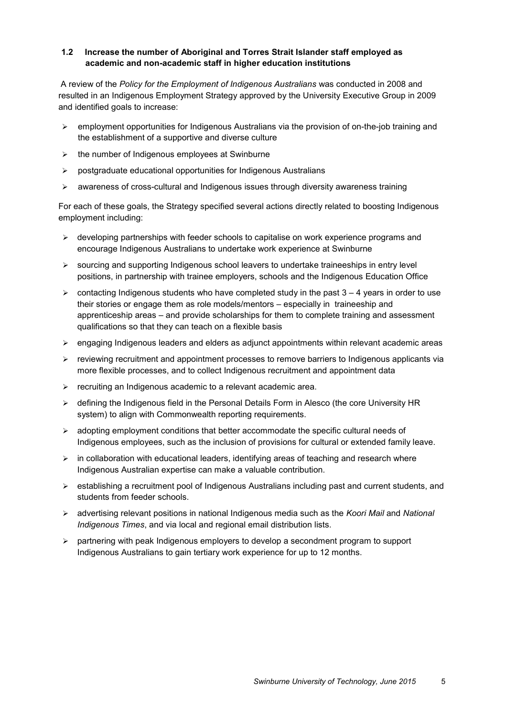### **1.2 Increase the number of Aboriginal and Torres Strait Islander staff employed as academic and non-academic staff in higher education institutions**

A review of the *Policy for the Employment of Indigenous Australians* was conducted in 2008 and resulted in an Indigenous Employment Strategy approved by the University Executive Group in 2009 and identified goals to increase:

- $\triangleright$  employment opportunities for Indigenous Australians via the provision of on-the-job training and the establishment of a supportive and diverse culture
- $\triangleright$  the number of Indigenous employees at Swinburne
- $\triangleright$  postgraduate educational opportunities for Indigenous Australians
- $\triangleright$  awareness of cross-cultural and Indigenous issues through diversity awareness training

For each of these goals, the Strategy specified several actions directly related to boosting Indigenous employment including:

- $\triangleright$  developing partnerships with feeder schools to capitalise on work experience programs and encourage Indigenous Australians to undertake work experience at Swinburne
- $\triangleright$  sourcing and supporting Indigenous school leavers to undertake traineeships in entry level positions, in partnership with trainee employers, schools and the Indigenous Education Office
- $\triangleright$  contacting Indigenous students who have completed study in the past 3 4 years in order to use their stories or engage them as role models/mentors – especially in traineeship and apprenticeship areas – and provide scholarships for them to complete training and assessment qualifications so that they can teach on a flexible basis
- $\triangleright$  engaging Indigenous leaders and elders as adjunct appointments within relevant academic areas
- $\triangleright$  reviewing recruitment and appointment processes to remove barriers to Indigenous applicants via more flexible processes, and to collect Indigenous recruitment and appointment data
- $\triangleright$  recruiting an Indigenous academic to a relevant academic area.
- $\triangleright$  defining the Indigenous field in the Personal Details Form in Alesco (the core University HR system) to align with Commonwealth reporting requirements.
- $\triangleright$  adopting employment conditions that better accommodate the specific cultural needs of Indigenous employees, such as the inclusion of provisions for cultural or extended family leave.
- $\triangleright$  in collaboration with educational leaders, identifying areas of teaching and research where Indigenous Australian expertise can make a valuable contribution.
- $\triangleright$  establishing a recruitment pool of Indigenous Australians including past and current students, and students from feeder schools.
- advertising relevant positions in national Indigenous media such as the *Koori Mail* and *National Indigenous Times*, and via local and regional email distribution lists.
- $\triangleright$  partnering with peak Indigenous employers to develop a secondment program to support Indigenous Australians to gain tertiary work experience for up to 12 months.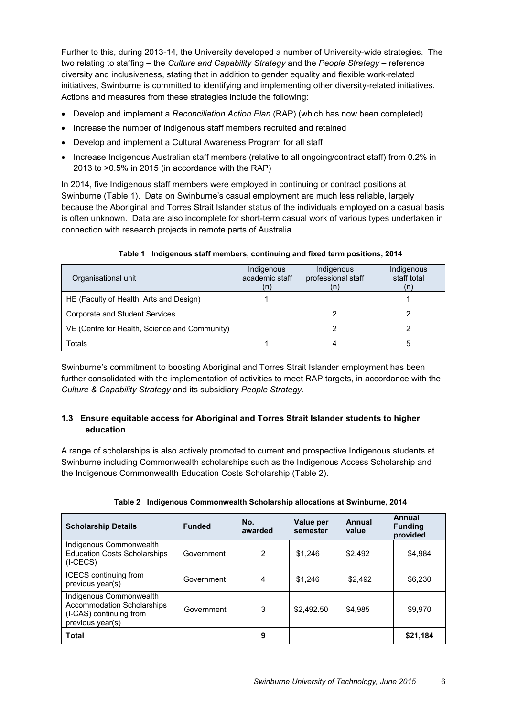Further to this, during 2013-14, the University developed a number of University-wide strategies. The two relating to staffing – the *Culture and Capability Strategy* and the *People Strategy* – reference diversity and inclusiveness, stating that in addition to gender equality and flexible work-related initiatives, Swinburne is committed to identifying and implementing other diversity-related initiatives. Actions and measures from these strategies include the following:

- Develop and implement a *Reconciliation Action Plan* (RAP) (which has now been completed)
- Increase the number of Indigenous staff members recruited and retained
- Develop and implement a Cultural Awareness Program for all staff
- Increase Indigenous Australian staff members (relative to all ongoing/contract staff) from 0.2% in 2013 to >0.5% in 2015 (in accordance with the RAP)

In 2014, five Indigenous staff members were employed in continuing or contract positions at Swinburne (Table 1). Data on Swinburne's casual employment are much less reliable, largely because the Aboriginal and Torres Strait Islander status of the individuals employed on a casual basis is often unknown. Data are also incomplete for short-term casual work of various types undertaken in connection with research projects in remote parts of Australia.

| Organisational unit                           | Indigenous<br>academic staff<br>(n) | Indigenous<br>professional staff<br>(n) | Indigenous<br>staff total<br>(n) |
|-----------------------------------------------|-------------------------------------|-----------------------------------------|----------------------------------|
| HE (Faculty of Health, Arts and Design)       |                                     |                                         |                                  |
| Corporate and Student Services                |                                     |                                         |                                  |
| VE (Centre for Health, Science and Community) |                                     |                                         |                                  |
| Totals                                        |                                     |                                         | 5                                |

#### **Table 1 Indigenous staff members, continuing and fixed term positions, 2014**

Swinburne's commitment to boosting Aboriginal and Torres Strait Islander employment has been further consolidated with the implementation of activities to meet RAP targets, in accordance with the *Culture & Capability Strategy* and its subsidiary *People Strategy*.

### **1.3 Ensure equitable access for Aboriginal and Torres Strait Islander students to higher education**

A range of scholarships is also actively promoted to current and prospective Indigenous students at Swinburne including Commonwealth scholarships such as the Indigenous Access Scholarship and the Indigenous Commonwealth Education Costs Scholarship (Table 2).

| <b>Scholarship Details</b>                                                                                  | <b>Funded</b> | No.<br>awarded | Value per<br>semester | Annual<br>value | Annual<br><b>Funding</b><br>provided |
|-------------------------------------------------------------------------------------------------------------|---------------|----------------|-----------------------|-----------------|--------------------------------------|
| Indigenous Commonwealth<br><b>Education Costs Scholarships</b><br>$(I-CECS)$                                | Government    | 2              | \$1.246               | \$2.492         | \$4,984                              |
| <b>ICECS</b> continuing from<br>previous year(s)                                                            | Government    | 4              | \$1.246               | \$2.492         | \$6,230                              |
| Indigenous Commonwealth<br><b>Accommodation Scholarships</b><br>(I-CAS) continuing from<br>previous year(s) | Government    | 3              | \$2.492.50            | \$4.985         | \$9,970                              |
| <b>Total</b>                                                                                                |               | 9              |                       |                 | \$21,184                             |

#### **Table 2 Indigenous Commonwealth Scholarship allocations at Swinburne, 2014**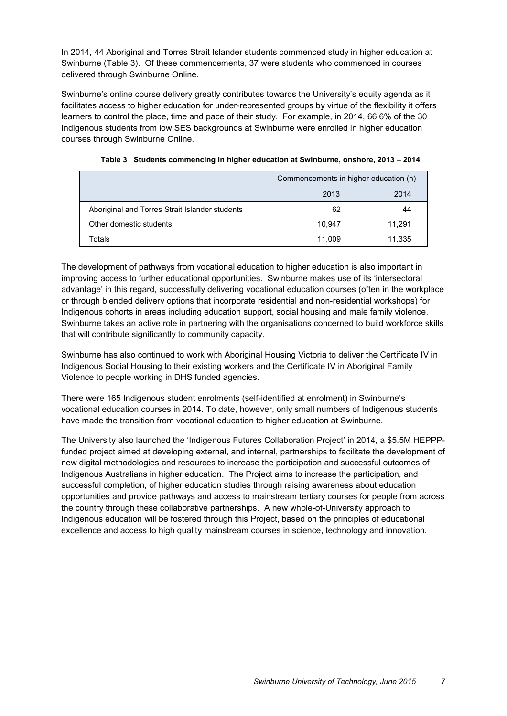In 2014, 44 Aboriginal and Torres Strait Islander students commenced study in higher education at Swinburne (Table 3). Of these commencements, 37 were students who commenced in courses delivered through Swinburne Online.

Swinburne's online course delivery greatly contributes towards the University's equity agenda as it facilitates access to higher education for under-represented groups by virtue of the flexibility it offers learners to control the place, time and pace of their study. For example, in 2014, 66.6% of the 30 Indigenous students from low SES backgrounds at Swinburne were enrolled in higher education courses through Swinburne Online.

|                                                | Commencements in higher education (n) |        |  |
|------------------------------------------------|---------------------------------------|--------|--|
|                                                | 2013                                  | 2014   |  |
| Aboriginal and Torres Strait Islander students | 62                                    | 44     |  |
| Other domestic students                        | 10.947                                | 11.291 |  |
| Totals                                         | 11.009                                | 11,335 |  |

**Table 3 Students commencing in higher education at Swinburne, onshore, 2013 – 2014**

The development of pathways from vocational education to higher education is also important in improving access to further educational opportunities. Swinburne makes use of its 'intersectoral advantage' in this regard, successfully delivering vocational education courses (often in the workplace or through blended delivery options that incorporate residential and non-residential workshops) for Indigenous cohorts in areas including education support, social housing and male family violence. Swinburne takes an active role in partnering with the organisations concerned to build workforce skills that will contribute significantly to community capacity.

Swinburne has also continued to work with Aboriginal Housing Victoria to deliver the Certificate IV in Indigenous Social Housing to their existing workers and the Certificate IV in Aboriginal Family Violence to people working in DHS funded agencies.

There were 165 Indigenous student enrolments (self-identified at enrolment) in Swinburne's vocational education courses in 2014. To date, however, only small numbers of Indigenous students have made the transition from vocational education to higher education at Swinburne.

The University also launched the 'Indigenous Futures Collaboration Project' in 2014, a \$5.5M HEPPPfunded project aimed at developing external, and internal, partnerships to facilitate the development of new digital methodologies and resources to increase the participation and successful outcomes of Indigenous Australians in higher education. The Project aims to increase the participation, and successful completion, of higher education studies through raising awareness about education opportunities and provide pathways and access to mainstream tertiary courses for people from across the country through these collaborative partnerships. A new whole-of-University approach to Indigenous education will be fostered through this Project, based on the principles of educational excellence and access to high quality mainstream courses in science, technology and innovation.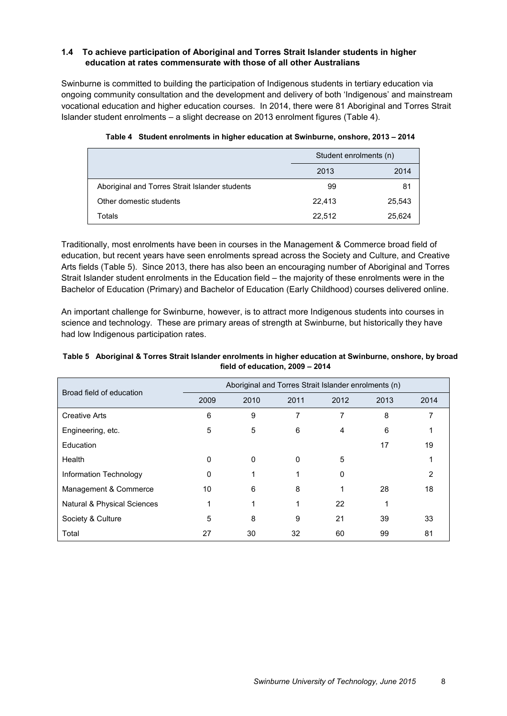### **1.4 To achieve participation of Aboriginal and Torres Strait Islander students in higher education at rates commensurate with those of all other Australians**

Swinburne is committed to building the participation of Indigenous students in tertiary education via ongoing community consultation and the development and delivery of both 'Indigenous' and mainstream vocational education and higher education courses. In 2014, there were 81 Aboriginal and Torres Strait Islander student enrolments – a slight decrease on 2013 enrolment figures (Table 4).

|                                                | Student enrolments (n) |        |  |
|------------------------------------------------|------------------------|--------|--|
|                                                | 2013                   | 2014   |  |
| Aboriginal and Torres Strait Islander students | 99                     | 81     |  |
| Other domestic students                        | 22,413                 | 25,543 |  |
| Totals                                         | 22,512                 | 25,624 |  |

|  | Table 4 Student enrolments in higher education at Swinburne, onshore, 2013 - 2014 |  |
|--|-----------------------------------------------------------------------------------|--|
|--|-----------------------------------------------------------------------------------|--|

Traditionally, most enrolments have been in courses in the Management & Commerce broad field of education, but recent years have seen enrolments spread across the Society and Culture, and Creative Arts fields (Table 5). Since 2013, there has also been an encouraging number of Aboriginal and Torres Strait Islander student enrolments in the Education field – the majority of these enrolments were in the Bachelor of Education (Primary) and Bachelor of Education (Early Childhood) courses delivered online.

An important challenge for Swinburne, however, is to attract more Indigenous students into courses in science and technology. These are primary areas of strength at Swinburne, but historically they have had low Indigenous participation rates.

#### **Table 5 Aboriginal & Torres Strait Islander enrolments in higher education at Swinburne, onshore, by broad field of education, 2009 – 2014**

| Broad field of education    | Aboriginal and Torres Strait Islander enrolments (n) |          |      |      |      |      |
|-----------------------------|------------------------------------------------------|----------|------|------|------|------|
|                             | 2009                                                 | 2010     | 2011 | 2012 | 2013 | 2014 |
| <b>Creative Arts</b>        | 6                                                    | 9        |      | 7    | 8    |      |
| Engineering, etc.           | 5                                                    | 5        | 6    | 4    | 6    |      |
| Education                   |                                                      |          |      |      | 17   | 19   |
| Health                      | $\Omega$                                             | $\Omega$ | 0    | 5    |      |      |
| Information Technology      | $\Omega$                                             |          |      | 0    |      | 2    |
| Management & Commerce       | 10                                                   | 6        | 8    | 1    | 28   | 18   |
| Natural & Physical Sciences |                                                      | 1        | 1    | 22   |      |      |
| Society & Culture           | 5                                                    | 8        | 9    | 21   | 39   | 33   |
| Total                       | 27                                                   | 30       | 32   | 60   | 99   | 81   |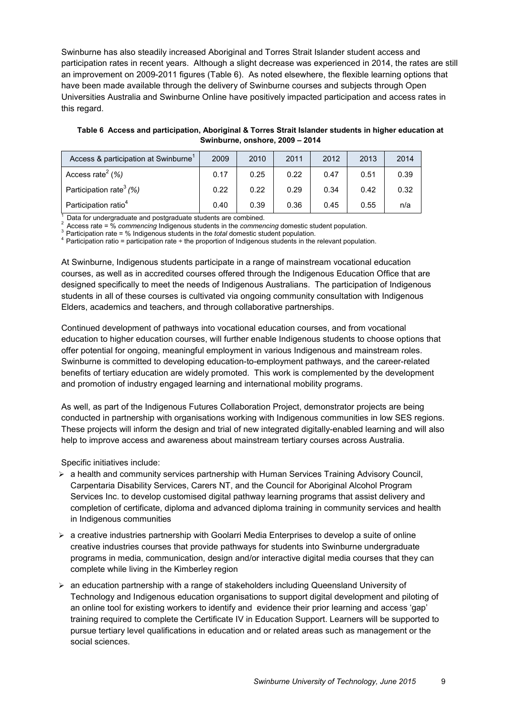Swinburne has also steadily increased Aboriginal and Torres Strait Islander student access and participation rates in recent years. Although a slight decrease was experienced in 2014, the rates are still an improvement on 2009-2011 figures (Table 6). As noted elsewhere, the flexible learning options that have been made available through the delivery of Swinburne courses and subjects through Open Universities Australia and Swinburne Online have positively impacted participation and access rates in this regard.

**Table 6 Access and participation, Aboriginal & Torres Strait Islander students in higher education at Swinburne, onshore, 2009 – 2014**

| Access & participation at Swinburne <sup>1</sup> | 2009 | 2010 | 2011 | 2012 | 2013 | 2014 |
|--------------------------------------------------|------|------|------|------|------|------|
| Access rate <sup>2</sup> $(\%)$                  | 0.17 | 0.25 | 0.22 | 0.47 | 0.51 | 0.39 |
| Participation rate <sup>3</sup> (%)              | 0.22 | 0.22 | 0.29 | 0.34 | 0.42 | 0.32 |
| Participation ratio <sup>4</sup>                 | 0.40 | 0.39 | 0.36 | 0.45 | 0.55 | n/a  |

<sup>1</sup> Data for undergraduate and postgraduate students are combined.<br>
<sup>2</sup> Access rate = % commencing Indigenous students in the commencing domestic student population.<br>
<sup>3</sup> Participation rate = % Indigenous students in the

At Swinburne, Indigenous students participate in a range of mainstream vocational education courses, as well as in accredited courses offered through the Indigenous Education Office that are designed specifically to meet the needs of Indigenous Australians. The participation of Indigenous students in all of these courses is cultivated via ongoing community consultation with Indigenous Elders, academics and teachers, and through collaborative partnerships.

Continued development of pathways into vocational education courses, and from vocational education to higher education courses, will further enable Indigenous students to choose options that offer potential for ongoing, meaningful employment in various Indigenous and mainstream roles. Swinburne is committed to developing education-to-employment pathways, and the career-related benefits of tertiary education are widely promoted. This work is complemented by the development and promotion of industry engaged learning and international mobility programs.

As well, as part of the Indigenous Futures Collaboration Project, demonstrator projects are being conducted in partnership with organisations working with Indigenous communities in low SES regions. These projects will inform the design and trial of new integrated digitally-enabled learning and will also help to improve access and awareness about mainstream tertiary courses across Australia.

Specific initiatives include:

- $\geq$  a health and community services partnership with Human Services Training Advisory Council, Carpentaria Disability Services, Carers NT, and the Council for Aboriginal Alcohol Program Services Inc. to develop customised digital pathway learning programs that assist delivery and completion of certificate, diploma and advanced diploma training in community services and health in Indigenous communities
- $\geq$  a creative industries partnership with Goolarri Media Enterprises to develop a suite of online creative industries courses that provide pathways for students into Swinburne undergraduate programs in media, communication, design and/or interactive digital media courses that they can complete while living in the Kimberley region
- $\ge$  an education partnership with a range of stakeholders including Queensland University of Technology and Indigenous education organisations to support digital development and piloting of an online tool for existing workers to identify and evidence their prior learning and access 'gap' training required to complete the Certificate IV in Education Support. Learners will be supported to pursue tertiary level qualifications in education and or related areas such as management or the social sciences.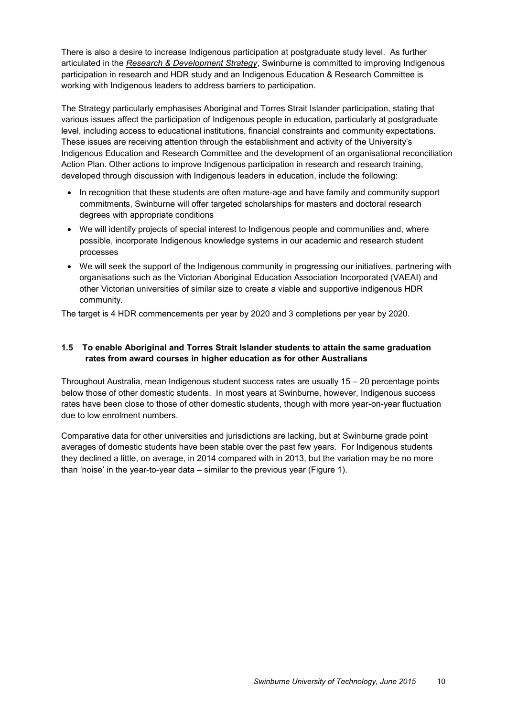There is also a desire to increase Indigenous participation at postgraduate study level. As further articulated in the *[Research & Development Strategy](http://www.swinburne.edu.au/corporate/spq/docs/swinonly/Plans_2014/140430%20Research%20&%20%20Development%20Strategy%20v3.1.pdf)*, Swinburne is committed to improving Indigenous participation in research and HDR study and an Indigenous Education & Research Committee is working with Indigenous leaders to address barriers to participation.

The Strategy particularly emphasises Aboriginal and Torres Strait Islander participation, stating that various issues affect the participation of Indigenous people in education, particularly at postgraduate level, including access to educational institutions, financial constraints and community expectations. These issues are receiving attention through the establishment and activity of the University's Indigenous Education and Research Committee and the development of an organisational reconciliation Action Plan. Other actions to improve Indigenous participation in research and research training, developed through discussion with Indigenous leaders in education, include the following:

- In recognition that these students are often mature-age and have family and community support commitments, Swinburne will offer targeted scholarships for masters and doctoral research degrees with appropriate conditions
- We will identify projects of special interest to Indigenous people and communities and, where possible, incorporate Indigenous knowledge systems in our academic and research student processes
- We will seek the support of the Indigenous community in progressing our initiatives, partnering with organisations such as the Victorian Aboriginal Education Association Incorporated (VAEAI) and other Victorian universities of similar size to create a viable and supportive indigenous HDR community.

The target is 4 HDR commencements per year by 2020 and 3 completions per year by 2020.

### **1.5 To enable Aboriginal and Torres Strait Islander students to attain the same graduation rates from award courses in higher education as for other Australians**

Throughout Australia, mean Indigenous student success rates are usually 15 – 20 percentage points below those of other domestic students. In most years at Swinburne, however, Indigenous success rates have been close to those of other domestic students, though with more year-on-year fluctuation due to low enrolment numbers.

Comparative data for other universities and jurisdictions are lacking, but at Swinburne grade point averages of domestic students have been stable over the past few years. For Indigenous students they declined a little, on average, in 2014 compared with in 2013, but the variation may be no more than 'noise' in the year-to-year data – similar to the previous year (Figure 1).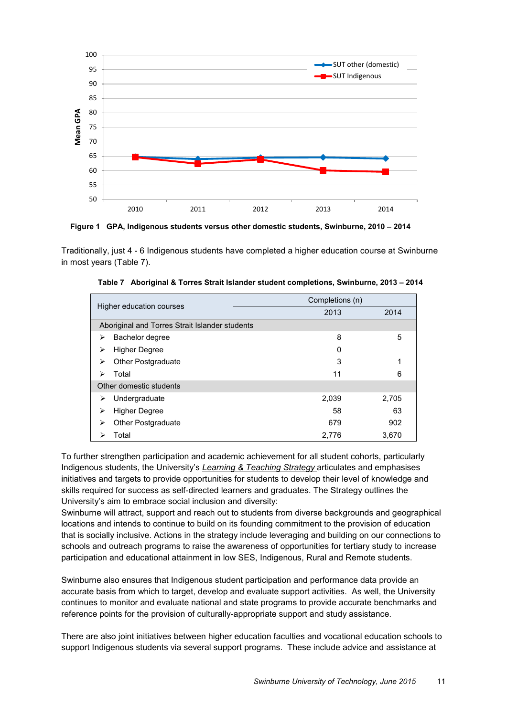

**Figure 1 GPA, Indigenous students versus other domestic students, Swinburne, 2010 – 2014**

Traditionally, just 4 - 6 Indigenous students have completed a higher education course at Swinburne in most years (Table 7).

|                                                | Completions (n) |       |  |
|------------------------------------------------|-----------------|-------|--|
| Higher education courses                       | 2013            | 2014  |  |
| Aboriginal and Torres Strait Islander students |                 |       |  |
| Bachelor degree<br>⋗                           | 8               | 5     |  |
| <b>Higher Degree</b><br>⋗                      | 0               |       |  |
| Other Postgraduate<br>⋗                        | 3               | 1     |  |
| Total<br>↘                                     | 11              | 6     |  |
| Other domestic students                        |                 |       |  |
| Undergraduate<br>⋗                             | 2,039           | 2,705 |  |
| <b>Higher Degree</b><br>⋗                      | 58              | 63    |  |
| Other Postgraduate<br>⋗                        | 679             | 902   |  |
| Total                                          | 2,776           | 3,670 |  |

**Table 7 Aboriginal & Torres Strait Islander student completions, Swinburne, 2013 – 2014**

To further strengthen participation and academic achievement for all student cohorts, particularly Indigenous students, the University's *[Learning & Teaching Strategy](http://www.swinburne.edu.au/corporate/spq/docs/swinonly/Plans_2014/2020%20L&T%20Strategy_web.pdf)* articulates and emphasises initiatives and targets to provide opportunities for students to develop their level of knowledge and skills required for success as self-directed learners and graduates. The Strategy outlines the University's aim to embrace social inclusion and diversity:

Swinburne will attract, support and reach out to students from diverse backgrounds and geographical locations and intends to continue to build on its founding commitment to the provision of education that is socially inclusive. Actions in the strategy include leveraging and building on our connections to schools and outreach programs to raise the awareness of opportunities for tertiary study to increase participation and educational attainment in low SES, Indigenous, Rural and Remote students.

Swinburne also ensures that Indigenous student participation and performance data provide an accurate basis from which to target, develop and evaluate support activities. As well, the University continues to monitor and evaluate national and state programs to provide accurate benchmarks and reference points for the provision of culturally-appropriate support and study assistance.

There are also joint initiatives between higher education faculties and vocational education schools to support Indigenous students via several support programs. These include advice and assistance at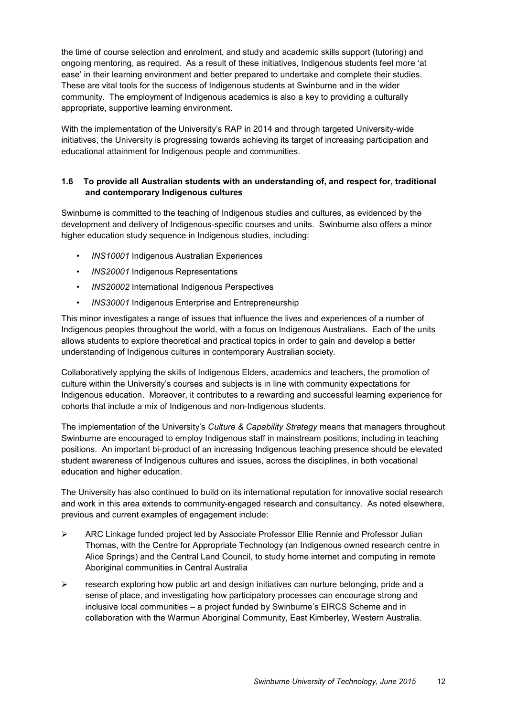the time of course selection and enrolment, and study and academic skills support (tutoring) and ongoing mentoring, as required. As a result of these initiatives, Indigenous students feel more 'at ease' in their learning environment and better prepared to undertake and complete their studies. These are vital tools for the success of Indigenous students at Swinburne and in the wider community. The employment of Indigenous academics is also a key to providing a culturally appropriate, supportive learning environment.

With the implementation of the University's RAP in 2014 and through targeted University-wide initiatives, the University is progressing towards achieving its target of increasing participation and educational attainment for Indigenous people and communities.

### **1.6 To provide all Australian students with an understanding of, and respect for, traditional and contemporary Indigenous cultures**

Swinburne is committed to the teaching of Indigenous studies and cultures, as evidenced by the development and delivery of Indigenous-specific courses and units. Swinburne also offers a minor higher education study sequence in Indigenous studies, including:

- *INS10001* [Indigenous Australian Experiences](http://www.future.swinburne.edu.au/units/Indigenous-Australian-Experiences-INS10001/local)
- *INS20001* [Indigenous Representations](http://www.future.swinburne.edu.au/units/Indigenous-Representations-INS20001/local)
- *INS20002* [International Indigenous Perspectives](http://www.future.swinburne.edu.au/units/International-Indigenous-Perspectives--INS20002/local)
- *INS30001* [Indigenous Enterprise and Entrepreneurship](http://www.future.swinburne.edu.au/units/Indigenous-Enterprise-and-Entrepreneurship-INS30001/local)

This minor investigates a range of issues that influence the lives and experiences of a number of Indigenous peoples throughout the world, with a focus on Indigenous Australians. Each of the units allows students to explore theoretical and practical topics in order to gain and develop a better understanding of Indigenous cultures in contemporary Australian society.

Collaboratively applying the skills of Indigenous Elders, academics and teachers, the promotion of culture within the University's courses and subjects is in line with community expectations for Indigenous education. Moreover, it contributes to a rewarding and successful learning experience for cohorts that include a mix of Indigenous and non-Indigenous students.

The implementation of the University's *Culture & Capability Strategy* means that managers throughout Swinburne are encouraged to employ Indigenous staff in mainstream positions, including in teaching positions. An important bi-product of an increasing Indigenous teaching presence should be elevated student awareness of Indigenous cultures and issues, across the disciplines, in both vocational education and higher education.

The University has also continued to build on its international reputation for innovative social research and work in this area extends to community-engaged research and consultancy. As noted elsewhere, previous and current examples of engagement include:

- ARC Linkage funded project led by Associate Professor Ellie Rennie and Professor Julian Thomas, with the Centre for Appropriate Technology (an Indigenous owned research centre in Alice Springs) and the Central Land Council, to study home internet and computing in remote Aboriginal communities in Central Australia
- $\triangleright$  research exploring how public art and design initiatives can nurture belonging, pride and a sense of place, and investigating how participatory processes can encourage strong and inclusive local communities – a project funded by Swinburne's EIRCS Scheme and in collaboration with the Warmun Aboriginal Community, East Kimberley, Western Australia.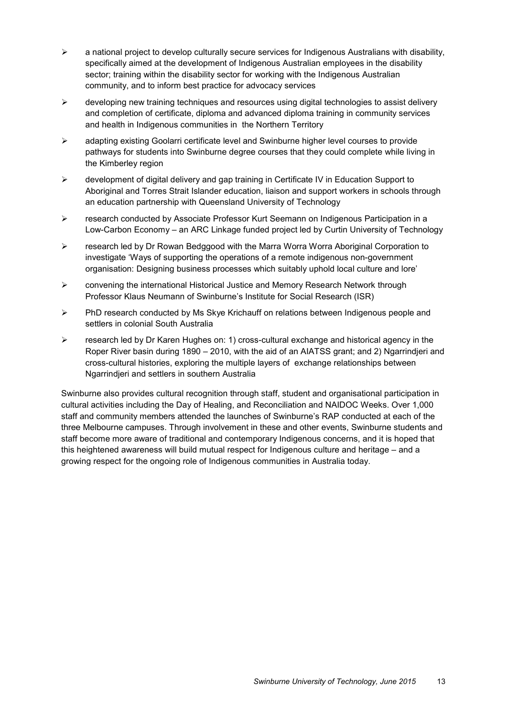- $\triangleright$  a national project to develop culturally secure services for Indigenous Australians with disability, specifically aimed at the development of Indigenous Australian employees in the disability sector; training within the disability sector for working with the Indigenous Australian community, and to inform best practice for advocacy services
- $\triangleright$  developing new training techniques and resources using digital technologies to assist delivery and completion of certificate, diploma and advanced diploma training in community services and health in Indigenous communities in the Northern Territory
- $\triangleright$  adapting existing Goolarri certificate level and Swinburne higher level courses to provide pathways for students into Swinburne degree courses that they could complete while living in the Kimberley region
- development of digital delivery and gap training in Certificate IV in Education Support to Aboriginal and Torres Strait Islander education, liaison and support workers in schools through an education partnership with Queensland University of Technology
- research conducted by Associate Professor Kurt Seemann on Indigenous Participation in a Low-Carbon Economy – an ARC Linkage funded project led by Curtin University of Technology
- research led by Dr Rowan Bedggood with the Marra Worra Worra Aboriginal Corporation to investigate 'Ways of supporting the operations of a remote indigenous non-government organisation: Designing business processes which suitably uphold local culture and lore'
- $\triangleright$  convening the international Historical Justice and Memory Research Network through Professor Klaus Neumann of Swinburne's Institute for Social Research (ISR)
- $\triangleright$  PhD research conducted by Ms Skye Krichauff on relations between Indigenous people and settlers in colonial South Australia
- $\triangleright$  research led by Dr Karen Hughes on: 1) cross-cultural exchange and historical agency in the Roper River basin during 1890 – 2010, with the aid of an AIATSS grant; and 2) Ngarrindjeri and cross-cultural histories, exploring the multiple layers of exchange relationships between Ngarrindjeri and settlers in southern Australia

Swinburne also provides cultural recognition through staff, student and organisational participation in cultural activities including the Day of Healing, and Reconciliation and NAIDOC Weeks. Over 1,000 staff and community members attended the launches of Swinburne's RAP conducted at each of the three Melbourne campuses. Through involvement in these and other events, Swinburne students and staff become more aware of traditional and contemporary Indigenous concerns, and it is hoped that this heightened awareness will build mutual respect for Indigenous culture and heritage – and a growing respect for the ongoing role of Indigenous communities in Australia today.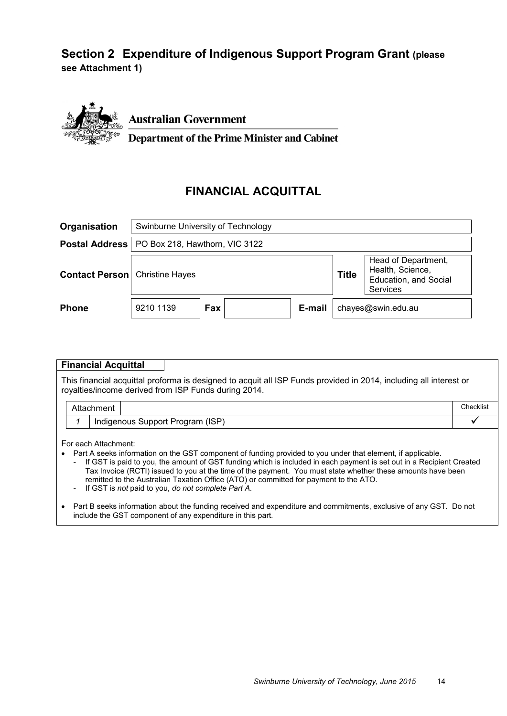**Section 2 Expenditure of Indigenous Support Program Grant (please see Attachment 1)**



**Australian Government** 

Department of the Prime Minister and Cabinet

# **FINANCIAL ACQUITTAL**

| Organisation                          | Swinburne University of Technology |     |  |        |                    |                                                                              |  |
|---------------------------------------|------------------------------------|-----|--|--------|--------------------|------------------------------------------------------------------------------|--|
| <b>Postal Address</b>                 | PO Box 218, Hawthorn, VIC 3122     |     |  |        |                    |                                                                              |  |
| <b>Contact Person</b> Christine Hayes |                                    |     |  |        | <b>Title</b>       | Head of Department,<br>Health, Science,<br>Education, and Social<br>Services |  |
| <b>Phone</b>                          | 9210 1139                          | Fax |  | E-mail | chayes@swin.edu.au |                                                                              |  |

| <b>Financial Acquittal</b>               |                                                                                                                                                                                                                                                                                                                                                                                                                                                                                                   |           |
|------------------------------------------|---------------------------------------------------------------------------------------------------------------------------------------------------------------------------------------------------------------------------------------------------------------------------------------------------------------------------------------------------------------------------------------------------------------------------------------------------------------------------------------------------|-----------|
|                                          | This financial acquittal proforma is designed to acquit all ISP Funds provided in 2014, including all interest or<br>royalties/income derived from ISP Funds during 2014.                                                                                                                                                                                                                                                                                                                         |           |
| Attachment                               |                                                                                                                                                                                                                                                                                                                                                                                                                                                                                                   | Checklist |
|                                          | Indigenous Support Program (ISP)                                                                                                                                                                                                                                                                                                                                                                                                                                                                  |           |
| For each Attachment:<br>$\sim$<br>$\sim$ | Part A seeks information on the GST component of funding provided to you under that element, if applicable.<br>If GST is paid to you, the amount of GST funding which is included in each payment is set out in a Recipient Created<br>Tax Invoice (RCTI) issued to you at the time of the payment. You must state whether these amounts have been<br>remitted to the Australian Taxation Office (ATO) or committed for payment to the ATO.<br>If GST is not paid to you, do not complete Part A. |           |
|                                          | Part B seeks information about the funding received and expenditure and commitments, exclusive of any GST. Do not<br>include the GST component of any expenditure in this part.                                                                                                                                                                                                                                                                                                                   |           |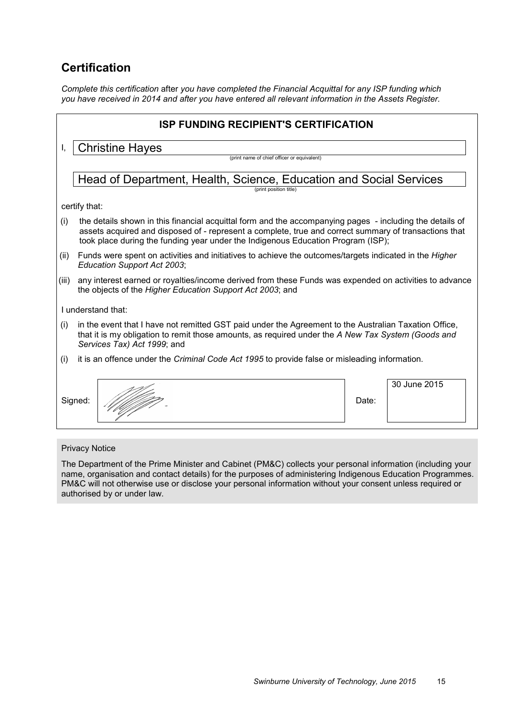## **Certification**

*Complete this certification* after *you have completed the Financial Acquittal for any ISP funding which you have received in 2014 and after you have entered all relevant information in the Assets Register.*

|       | <b>ISP FUNDING RECIPIENT'S CERTIFICATION</b>                                                                                                                                                                                                                                                          |       |              |  |  |
|-------|-------------------------------------------------------------------------------------------------------------------------------------------------------------------------------------------------------------------------------------------------------------------------------------------------------|-------|--------------|--|--|
|       | <b>Christine Hayes</b>                                                                                                                                                                                                                                                                                |       |              |  |  |
|       | (print name of chief officer or equivalent)                                                                                                                                                                                                                                                           |       |              |  |  |
|       | Head of Department, Health, Science, Education and Social Services<br>(print position title)                                                                                                                                                                                                          |       |              |  |  |
|       | certify that:                                                                                                                                                                                                                                                                                         |       |              |  |  |
| (i)   | the details shown in this financial acquittal form and the accompanying pages - including the details of<br>assets acquired and disposed of - represent a complete, true and correct summary of transactions that<br>took place during the funding year under the Indigenous Education Program (ISP); |       |              |  |  |
| (ii)  | Funds were spent on activities and initiatives to achieve the outcomes/targets indicated in the <i>Higher</i><br>Education Support Act 2003;                                                                                                                                                          |       |              |  |  |
| (iii) | any interest earned or royalties/income derived from these Funds was expended on activities to advance<br>the objects of the Higher Education Support Act 2003; and                                                                                                                                   |       |              |  |  |
|       | Lunderstand that:                                                                                                                                                                                                                                                                                     |       |              |  |  |
| (i)   | in the event that I have not remitted GST paid under the Agreement to the Australian Taxation Office,<br>that it is my obligation to remit those amounts, as required under the A New Tax System (Goods and<br>Services Tax) Act 1999; and                                                            |       |              |  |  |
| (i)   | it is an offence under the Criminal Code Act 1995 to provide false or misleading information.                                                                                                                                                                                                         |       |              |  |  |
|       | Signed:                                                                                                                                                                                                                                                                                               | Date: | 30 June 2015 |  |  |

Privacy Notice

The Department of the Prime Minister and Cabinet (PM&C) collects your personal information (including your name, organisation and contact details) for the purposes of administering Indigenous Education Programmes. PM&C will not otherwise use or disclose your personal information without your consent unless required or authorised by or under law.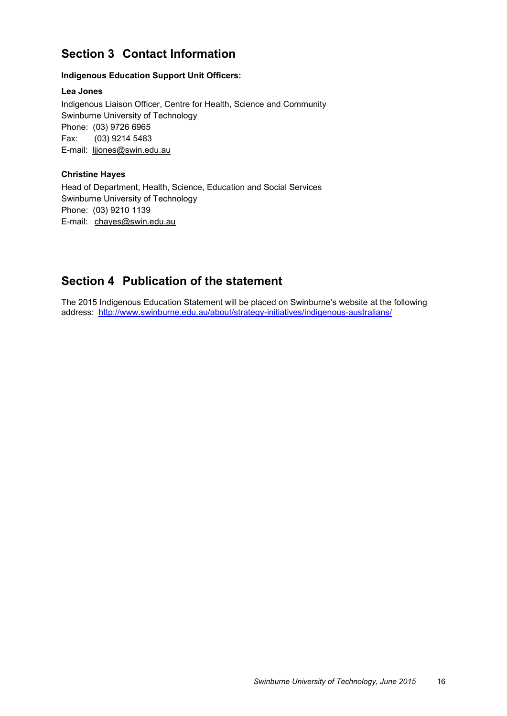# **Section 3 Contact Information**

### **Indigenous Education Support Unit Officers:**

### **Lea Jones**

Indigenous Liaison Officer, Centre for Health, Science and Community Swinburne University of Technology Phone: (03) 9726 6965 Fax: (03) 9214 5483 E-mail: [ljjones@swin.edu.au](mailto:ljjones@swin.edu.au)

### **Christine Hayes**

Head of Department, Health, Science, Education and Social Services Swinburne University of Technology Phone: (03) 9210 1139 E-mail: chayes@swin.edu.au

## **Section 4 Publication of the statement**

The 2015 Indigenous Education Statement will be placed on Swinburne's website at the following address: <http://www.swinburne.edu.au/about/strategy-initiatives/indigenous-australians/>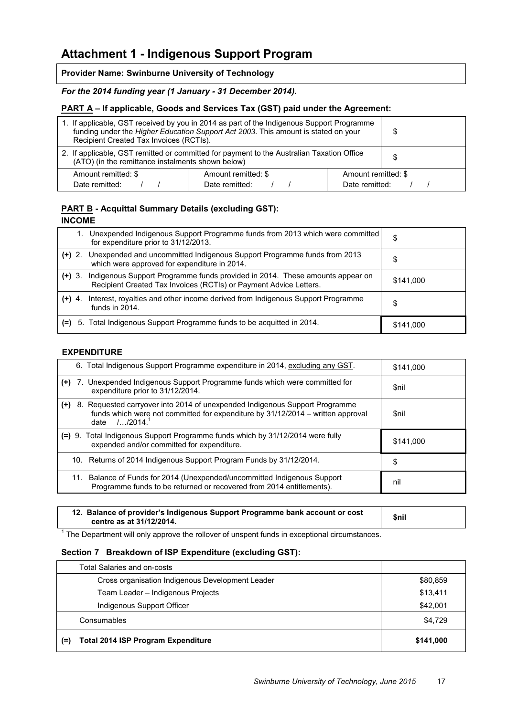### **Provider Name: Swinburne University of Technology**

### *For the 2014 funding year (1 January - 31 December 2014).*

### **PART A – If applicable, Goods and Services Tax (GST) paid under the Agreement:**

| 1. If applicable, GST received by you in 2014 as part of the Indigenous Support Programme<br>funding under the Higher Education Support Act 2003. This amount is stated on your<br>Recipient Created Tax Invoices (RCTIs). | S                                          |                |  |  |  |  |
|----------------------------------------------------------------------------------------------------------------------------------------------------------------------------------------------------------------------------|--------------------------------------------|----------------|--|--|--|--|
| 2. If applicable, GST remitted or committed for payment to the Australian Taxation Office<br>(ATO) (in the remittance instalments shown below)                                                                             | \$                                         |                |  |  |  |  |
| Amount remitted: \$                                                                                                                                                                                                        | Amount remitted: \$<br>Amount remitted: \$ |                |  |  |  |  |
| Date remitted:                                                                                                                                                                                                             | Date remitted:                             | Date remitted: |  |  |  |  |

### **PART B - Acquittal Summary Details (excluding GST): INCOME**

| Unexpended Indigenous Support Programme funds from 2013 which were committed<br>for expenditure prior to 31/12/2013.                                          | \$        |
|---------------------------------------------------------------------------------------------------------------------------------------------------------------|-----------|
| Unexpended and uncommitted Indigenous Support Programme funds from 2013<br>$(+)$ 2.<br>which were approved for expenditure in 2014.                           | \$        |
| Indigenous Support Programme funds provided in 2014. These amounts appear on<br>$(+)$ 3.<br>Recipient Created Tax Invoices (RCTIs) or Payment Advice Letters. | \$141.000 |
| Interest, royalties and other income derived from Indigenous Support Programme<br>$(+)$ 4.<br>funds in $2014$ .                                               | \$        |
| (=) 5. Total Indigenous Support Programme funds to be acquitted in 2014.                                                                                      | \$141,000 |

### **EXPENDITURE**

| 6. Total Indigenous Support Programme expenditure in 2014, excluding any GST.                                                                                                                       | \$141,000 |
|-----------------------------------------------------------------------------------------------------------------------------------------------------------------------------------------------------|-----------|
| Unexpended Indigenous Support Programme funds which were committed for<br>$(+)$ 7.<br>expenditure prior to 31/12/2014.                                                                              | \$nil     |
| (+) 8. Requested carryover into 2014 of unexpended Indigenous Support Programme<br>funds which were not committed for expenditure by 31/12/2014 - written approval<br>$1/2014$ <sup>1</sup><br>date | Snil      |
| (=) 9. Total Indigenous Support Programme funds which by 31/12/2014 were fully<br>expended and/or committed for expenditure.                                                                        | \$141,000 |
| 10. Returns of 2014 Indigenous Support Program Funds by 31/12/2014.                                                                                                                                 | \$        |
| 11. Balance of Funds for 2014 (Unexpended/uncommitted Indigenous Support<br>Programme funds to be returned or recovered from 2014 entitlements).                                                    | nil       |

 **12. Balance of provider's Indigenous Support Programme bank account or cost**  alance of provider's indigenous Support Programme bank account or cost<br>centre as at 31/12/2014.

 $1$  The Department will only approve the rollover of unspent funds in exceptional circumstances.

### **Section 7 Breakdown of ISP Expenditure (excluding GST):**

| Total Salaries and on-costs                      |           |
|--------------------------------------------------|-----------|
| Cross organisation Indigenous Development Leader | \$80,859  |
| Team Leader - Indigenous Projects                | \$13,411  |
| Indigenous Support Officer                       | \$42,001  |
| Consumables                                      | \$4.729   |
| <b>Total 2014 ISP Program Expenditure</b><br>(=) | \$141,000 |